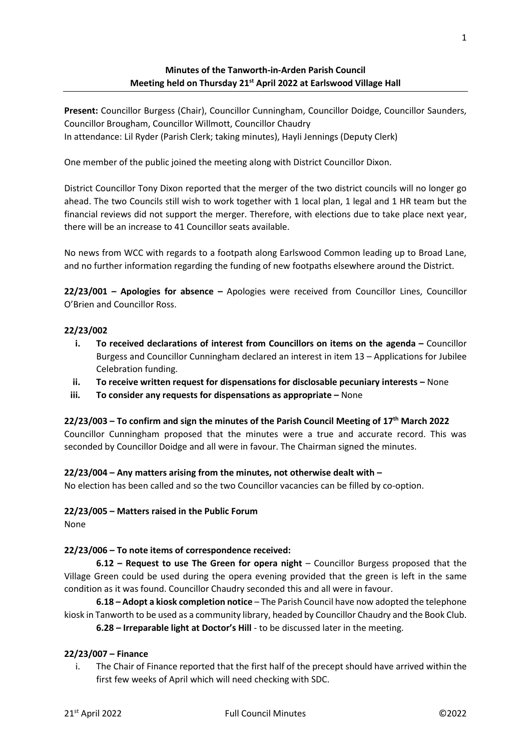## **Minutes of the Tanworth-in-Arden Parish Council Meeting held on Thursday 21st April 2022 at Earlswood Village Hall**

**Present:** Councillor Burgess (Chair), Councillor Cunningham, Councillor Doidge, Councillor Saunders, Councillor Brougham, Councillor Willmott, Councillor Chaudry In attendance: Lil Ryder (Parish Clerk; taking minutes), Hayli Jennings (Deputy Clerk)

One member of the public joined the meeting along with District Councillor Dixon.

District Councillor Tony Dixon reported that the merger of the two district councils will no longer go ahead. The two Councils still wish to work together with 1 local plan, 1 legal and 1 HR team but the financial reviews did not support the merger. Therefore, with elections due to take place next year, there will be an increase to 41 Councillor seats available.

No news from WCC with regards to a footpath along Earlswood Common leading up to Broad Lane, and no further information regarding the funding of new footpaths elsewhere around the District.

**22/23/001 – Apologies for absence –** Apologies were received from Councillor Lines, Councillor O'Brien and Councillor Ross.

#### **22/23/002**

- **i. To received declarations of interest from Councillors on items on the agenda Councillor** Burgess and Councillor Cunningham declared an interest in item 13 – Applications for Jubilee Celebration funding.
- **ii. To receive written request for dispensations for disclosable pecuniary interests –** None
- **iii. To consider any requests for dispensations as appropriate –** None

**22/23/003 – To confirm and sign the minutes of the Parish Council Meeting of 17th March 2022**

Councillor Cunningham proposed that the minutes were a true and accurate record. This was seconded by Councillor Doidge and all were in favour. The Chairman signed the minutes.

### **22/23/004 – Any matters arising from the minutes, not otherwise dealt with –**

No election has been called and so the two Councillor vacancies can be filled by co-option.

#### **22/23/005 – Matters raised in the Public Forum**

None

### **22/23/006 – To note items of correspondence received:**

**6.12 – Request to use The Green for opera night** – Councillor Burgess proposed that the Village Green could be used during the opera evening provided that the green is left in the same condition as it was found. Councillor Chaudry seconded this and all were in favour.

**6.18 – Adopt a kiosk completion notice** – The Parish Council have now adopted the telephone kiosk in Tanworth to be used as a community library, headed by Councillor Chaudry and the Book Club.

**6.28 – Irreparable light at Doctor's Hill** - to be discussed later in the meeting.

#### **22/23/007 – Finance**

i. The Chair of Finance reported that the first half of the precept should have arrived within the first few weeks of April which will need checking with SDC.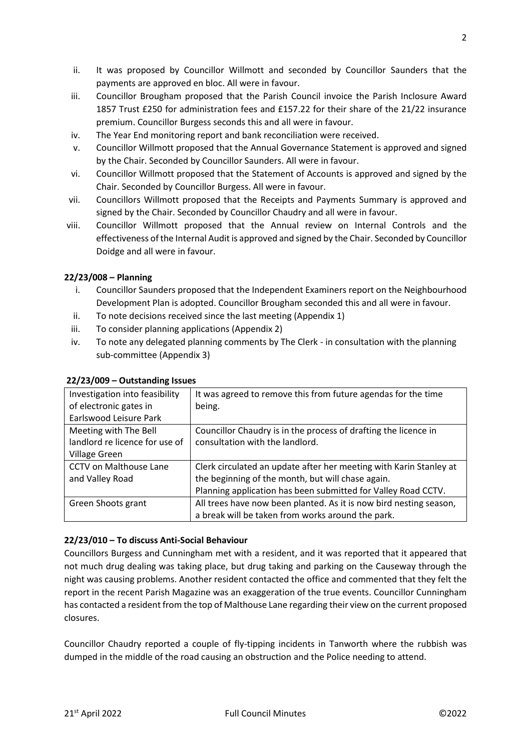2

- ii. It was proposed by Councillor Willmott and seconded by Councillor Saunders that the payments are approved en bloc. All were in favour.
- iii. Councillor Brougham proposed that the Parish Council invoice the Parish Inclosure Award 1857 Trust £250 for administration fees and £157.22 for their share of the 21/22 insurance premium. Councillor Burgess seconds this and all were in favour.
- iv. The Year End monitoring report and bank reconciliation were received.
- v. Councillor Willmott proposed that the Annual Governance Statement is approved and signed by the Chair. Seconded by Councillor Saunders. All were in favour.
- vi. Councillor Willmott proposed that the Statement of Accounts is approved and signed by the Chair. Seconded by Councillor Burgess. All were in favour.
- vii. Councillors Willmott proposed that the Receipts and Payments Summary is approved and signed by the Chair. Seconded by Councillor Chaudry and all were in favour.
- viii. Councillor Willmott proposed that the Annual review on Internal Controls and the effectiveness of the Internal Audit is approved and signed by the Chair. Seconded by Councillor Doidge and all were in favour.

# **22/23/008 – Planning**

- i. Councillor Saunders proposed that the Independent Examiners report on the Neighbourhood Development Plan is adopted. Councillor Brougham seconded this and all were in favour.
- ii. To note decisions received since the last meeting (Appendix 1)
- iii. To consider planning applications (Appendix 2)
- iv. To note any delegated planning comments by The Clerk in consultation with the planning sub-committee (Appendix 3)

| Investigation into feasibility | It was agreed to remove this from future agendas for the time      |
|--------------------------------|--------------------------------------------------------------------|
| of electronic gates in         | being.                                                             |
| Earlswood Leisure Park         |                                                                    |
| Meeting with The Bell          | Councillor Chaudry is in the process of drafting the licence in    |
| landlord re licence for use of | consultation with the landlord.                                    |
| Village Green                  |                                                                    |
| <b>CCTV on Malthouse Lane</b>  | Clerk circulated an update after her meeting with Karin Stanley at |
| and Valley Road                | the beginning of the month, but will chase again.                  |
|                                | Planning application has been submitted for Valley Road CCTV.      |
| Green Shoots grant             | All trees have now been planted. As it is now bird nesting season, |
|                                | a break will be taken from works around the park.                  |

### **22/23/009 – Outstanding Issues**

### **22/23/010 – To discuss Anti-Social Behaviour**

Councillors Burgess and Cunningham met with a resident, and it was reported that it appeared that not much drug dealing was taking place, but drug taking and parking on the Causeway through the night was causing problems. Another resident contacted the office and commented that they felt the report in the recent Parish Magazine was an exaggeration of the true events. Councillor Cunningham has contacted a resident from the top of Malthouse Lane regarding their view on the current proposed closures.

Councillor Chaudry reported a couple of fly-tipping incidents in Tanworth where the rubbish was dumped in the middle of the road causing an obstruction and the Police needing to attend.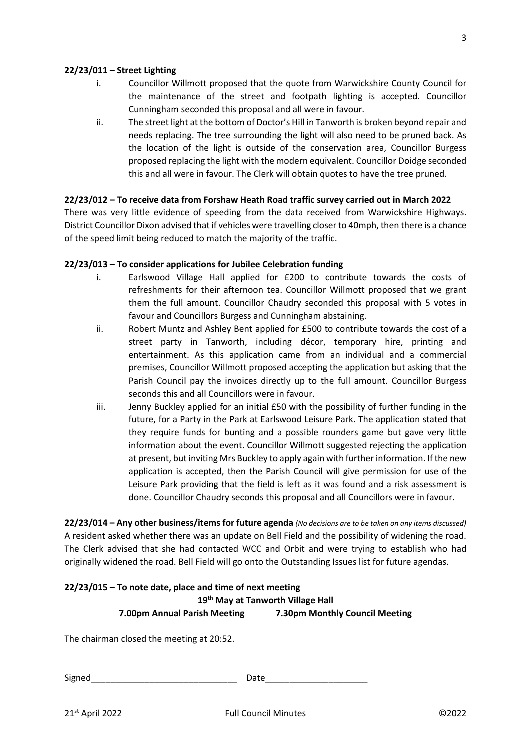#### **22/23/011 – Street Lighting**

- i. Councillor Willmott proposed that the quote from Warwickshire County Council for the maintenance of the street and footpath lighting is accepted. Councillor Cunningham seconded this proposal and all were in favour.
- ii. The street light at the bottom of Doctor's Hill in Tanworth is broken beyond repair and needs replacing. The tree surrounding the light will also need to be pruned back. As the location of the light is outside of the conservation area, Councillor Burgess proposed replacing the light with the modern equivalent. Councillor Doidge seconded this and all were in favour. The Clerk will obtain quotes to have the tree pruned.

#### **22/23/012 – To receive data from Forshaw Heath Road traffic survey carried out in March 2022**

There was very little evidence of speeding from the data received from Warwickshire Highways. District Councillor Dixon advised that if vehicles were travelling closer to 40mph, then there is a chance of the speed limit being reduced to match the majority of the traffic.

#### **22/23/013 – To consider applications for Jubilee Celebration funding**

- i. Earlswood Village Hall applied for £200 to contribute towards the costs of refreshments for their afternoon tea. Councillor Willmott proposed that we grant them the full amount. Councillor Chaudry seconded this proposal with 5 votes in favour and Councillors Burgess and Cunningham abstaining.
- ii. Robert Muntz and Ashley Bent applied for £500 to contribute towards the cost of a street party in Tanworth, including décor, temporary hire, printing and entertainment. As this application came from an individual and a commercial premises, Councillor Willmott proposed accepting the application but asking that the Parish Council pay the invoices directly up to the full amount. Councillor Burgess seconds this and all Councillors were in favour.
- iii. Jenny Buckley applied for an initial £50 with the possibility of further funding in the future, for a Party in the Park at Earlswood Leisure Park. The application stated that they require funds for bunting and a possible rounders game but gave very little information about the event. Councillor Willmott suggested rejecting the application at present, but inviting Mrs Buckley to apply again with further information. If the new application is accepted, then the Parish Council will give permission for use of the Leisure Park providing that the field is left as it was found and a risk assessment is done. Councillor Chaudry seconds this proposal and all Councillors were in favour.

**22/23/014 – Any other business/items for future agenda** *(No decisions are to be taken on any items discussed)* A resident asked whether there was an update on Bell Field and the possibility of widening the road. The Clerk advised that she had contacted WCC and Orbit and were trying to establish who had originally widened the road. Bell Field will go onto the Outstanding Issues list for future agendas.

| $22/23/015$ – To note date, place and time of next meeting |                                |  |  |
|------------------------------------------------------------|--------------------------------|--|--|
| 19 <sup>th</sup> May at Tanworth Village Hall              |                                |  |  |
| 7.00pm Annual Parish Meeting                               | 7.30pm Monthly Council Meeting |  |  |
| The chairman closed the meeting at 20:52.                  |                                |  |  |

Signed\_\_\_\_\_\_\_\_\_\_\_\_\_\_\_\_\_\_\_\_\_\_\_\_\_\_\_\_\_\_ Date\_\_\_\_\_\_\_\_\_\_\_\_\_\_\_\_\_\_\_\_\_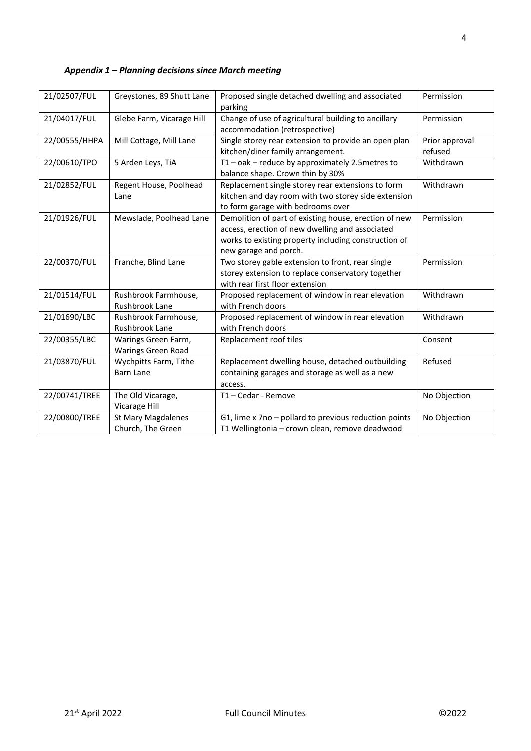| 21/02507/FUL  | Greystones, 89 Shutt Lane                        | Proposed single detached dwelling and associated<br>parking                                                                                                                               | Permission   |
|---------------|--------------------------------------------------|-------------------------------------------------------------------------------------------------------------------------------------------------------------------------------------------|--------------|
| 21/04017/FUL  | Glebe Farm, Vicarage Hill                        | Change of use of agricultural building to ancillary<br>Permission<br>accommodation (retrospective)                                                                                        |              |
| 22/00555/HHPA | Mill Cottage, Mill Lane                          | Single storey rear extension to provide an open plan<br>Prior approval<br>kitchen/diner family arrangement.<br>refused                                                                    |              |
| 22/00610/TPO  | 5 Arden Leys, TiA                                | $T1 - \text{oak} - \text{reduce by approximately } 2.5$ metres to<br>Withdrawn<br>balance shape. Crown thin by 30%                                                                        |              |
| 21/02852/FUL  | Regent House, Poolhead<br>Lane                   | Replacement single storey rear extensions to form<br>kitchen and day room with two storey side extension<br>to form garage with bedrooms over                                             | Withdrawn    |
| 21/01926/FUL  | Mewslade, Poolhead Lane                          | Demolition of part of existing house, erection of new<br>access, erection of new dwelling and associated<br>works to existing property including construction of<br>new garage and porch. | Permission   |
| 22/00370/FUL  | Franche, Blind Lane                              | Two storey gable extension to front, rear single<br>storey extension to replace conservatory together<br>with rear first floor extension                                                  | Permission   |
| 21/01514/FUL  | Rushbrook Farmhouse,<br>Rushbrook Lane           | Proposed replacement of window in rear elevation<br>with French doors                                                                                                                     | Withdrawn    |
| 21/01690/LBC  | Rushbrook Farmhouse,<br>Rushbrook Lane           | Proposed replacement of window in rear elevation<br>with French doors                                                                                                                     | Withdrawn    |
| 22/00355/LBC  | Warings Green Farm,<br><b>Warings Green Road</b> | Replacement roof tiles<br>Consent                                                                                                                                                         |              |
| 21/03870/FUL  | Wychpitts Farm, Tithe<br><b>Barn Lane</b>        | Refused<br>Replacement dwelling house, detached outbuilding<br>containing garages and storage as well as a new<br>access.                                                                 |              |
| 22/00741/TREE | The Old Vicarage,<br>Vicarage Hill               | T1-Cedar - Remove                                                                                                                                                                         | No Objection |
| 22/00800/TREE | <b>St Mary Magdalenes</b><br>Church, The Green   | G1, lime x 7no - pollard to previous reduction points<br>T1 Wellingtonia - crown clean, remove deadwood                                                                                   | No Objection |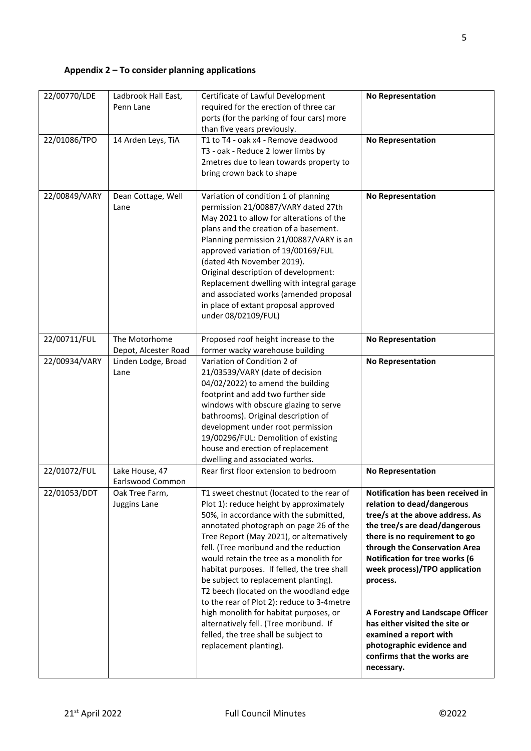# **Appendix 2 – To consider planning applications**

| 22/00770/LDE  | Ladbrook Hall East,<br>Penn Lane            | Certificate of Lawful Development<br>required for the erection of three car<br>ports (for the parking of four cars) more                                                                                                                                                                                                                                                                                                                                                                                                                                                                                                                       | <b>No Representation</b>                                                                                                                                                                                                                                                                                                                                                                                                                                       |
|---------------|---------------------------------------------|------------------------------------------------------------------------------------------------------------------------------------------------------------------------------------------------------------------------------------------------------------------------------------------------------------------------------------------------------------------------------------------------------------------------------------------------------------------------------------------------------------------------------------------------------------------------------------------------------------------------------------------------|----------------------------------------------------------------------------------------------------------------------------------------------------------------------------------------------------------------------------------------------------------------------------------------------------------------------------------------------------------------------------------------------------------------------------------------------------------------|
| 22/01086/TPO  | 14 Arden Leys, TiA                          | than five years previously.<br>T1 to T4 - oak x4 - Remove deadwood<br>T3 - oak - Reduce 2 lower limbs by<br>2metres due to lean towards property to<br>bring crown back to shape                                                                                                                                                                                                                                                                                                                                                                                                                                                               | <b>No Representation</b>                                                                                                                                                                                                                                                                                                                                                                                                                                       |
| 22/00849/VARY | Dean Cottage, Well<br>Lane                  | Variation of condition 1 of planning<br>permission 21/00887/VARY dated 27th<br>May 2021 to allow for alterations of the<br>plans and the creation of a basement.<br>Planning permission 21/00887/VARY is an<br>approved variation of 19/00169/FUL<br>(dated 4th November 2019).<br>Original description of development:<br>Replacement dwelling with integral garage<br>and associated works (amended proposal<br>in place of extant proposal approved<br>under 08/02109/FUL)                                                                                                                                                                  | <b>No Representation</b>                                                                                                                                                                                                                                                                                                                                                                                                                                       |
| 22/00711/FUL  | The Motorhome                               | Proposed roof height increase to the                                                                                                                                                                                                                                                                                                                                                                                                                                                                                                                                                                                                           | <b>No Representation</b>                                                                                                                                                                                                                                                                                                                                                                                                                                       |
| 22/00934/VARY | Depot, Alcester Road<br>Linden Lodge, Broad | former wacky warehouse building<br>Variation of Condition 2 of                                                                                                                                                                                                                                                                                                                                                                                                                                                                                                                                                                                 | <b>No Representation</b>                                                                                                                                                                                                                                                                                                                                                                                                                                       |
|               | Lane                                        | 21/03539/VARY (date of decision<br>04/02/2022) to amend the building<br>footprint and add two further side<br>windows with obscure glazing to serve<br>bathrooms). Original description of<br>development under root permission<br>19/00296/FUL: Demolition of existing<br>house and erection of replacement<br>dwelling and associated works.                                                                                                                                                                                                                                                                                                 |                                                                                                                                                                                                                                                                                                                                                                                                                                                                |
| 22/01072/FUL  | Lake House, 47<br>Earlswood Common          | Rear first floor extension to bedroom                                                                                                                                                                                                                                                                                                                                                                                                                                                                                                                                                                                                          | <b>No Representation</b>                                                                                                                                                                                                                                                                                                                                                                                                                                       |
| 22/01053/DDT  | Oak Tree Farm,<br>Juggins Lane              | T1 sweet chestnut (located to the rear of<br>Plot 1): reduce height by approximately<br>50%, in accordance with the submitted,<br>annotated photograph on page 26 of the<br>Tree Report (May 2021), or alternatively<br>fell. (Tree moribund and the reduction<br>would retain the tree as a monolith for<br>habitat purposes. If felled, the tree shall<br>be subject to replacement planting).<br>T2 beech (located on the woodland edge<br>to the rear of Plot 2): reduce to 3-4metre<br>high monolith for habitat purposes, or<br>alternatively fell. (Tree moribund. If<br>felled, the tree shall be subject to<br>replacement planting). | Notification has been received in<br>relation to dead/dangerous<br>tree/s at the above address. As<br>the tree/s are dead/dangerous<br>there is no requirement to go<br>through the Conservation Area<br>Notification for tree works (6<br>week process)/TPO application<br>process.<br>A Forestry and Landscape Officer<br>has either visited the site or<br>examined a report with<br>photographic evidence and<br>confirms that the works are<br>necessary. |